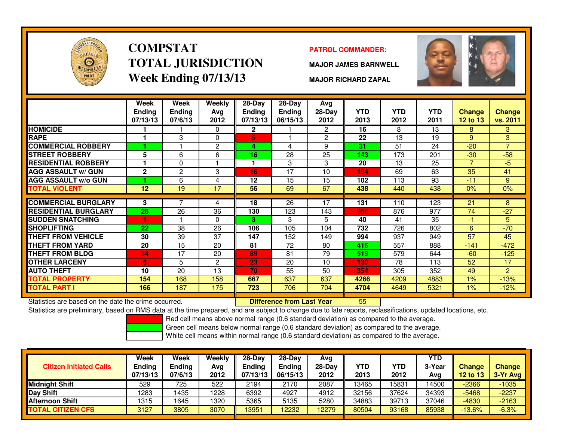

# **COMPSTATTOTAL JURISDICTIONWeek Ending 07/13/13**

### **PATROL COMMANDER:**

**MAJOR JAMES BARNWELL**



**MAJOR RICHARD ZAPAL**

|                             | Week<br><b>Ending</b><br>07/13/13 | Week<br><b>Ending</b><br>07/6/13 | <b>Weekly</b><br>Avg<br>2012 | 28-Day<br>Ending<br>07/13/13 | $28$ -Day<br>Ending<br>06/15/13 | Avg<br>$28-Day$<br>2012 | <b>YTD</b><br>2013 | <b>YTD</b><br>2012 | <b>YTD</b><br>2011 | <b>Change</b><br>12 to 13 | <b>Change</b><br>vs. 2011 |
|-----------------------------|-----------------------------------|----------------------------------|------------------------------|------------------------------|---------------------------------|-------------------------|--------------------|--------------------|--------------------|---------------------------|---------------------------|
| <b>HOMICIDE</b>             |                                   |                                  | $\Omega$                     | $\overline{2}$               |                                 | $\mathbf{2}^{\circ}$    | 16                 | 8                  | 13                 | 8                         | 3                         |
| <b>RAPE</b>                 | 1                                 | 3                                | $\Omega$                     | 5                            |                                 | 2                       | 22                 | 13                 | 19                 | 9                         | 3                         |
| <b>COMMERCIAL ROBBERY</b>   |                                   |                                  | $\overline{2}$               | 4                            | 4                               | 9                       | 31                 | 51                 | 24                 | $-20$                     | $\overline{7}$            |
| <b>STREET ROBBERY</b>       | 5                                 | 6                                | 6                            | 16                           | 28                              | 25                      | 143                | 173                | 201                | $-30$                     | $-58$                     |
| RESIDENTIAL ROBBERY         |                                   | 0                                |                              |                              | 3                               | 3                       | 20                 | 13                 | 25                 | 7                         | $-5$                      |
| <b>AGG ASSAULT w/ GUN</b>   | $\mathbf{2}$                      | $\overline{c}$                   | 3                            | 16                           | 17                              | 10                      | 104                | 69                 | 63                 | 35                        | 41                        |
| <b>AGG ASSAULT w/o GUN</b>  |                                   | 6                                | 4                            | 12                           | 15                              | 15                      | 102                | 113                | 93                 | $-11$                     | 9                         |
| TOTAL VIOLENT               | 12                                | 19                               | 17                           | 56                           | 69                              | 67                      | 438                | 440                | 438                | 0%                        | 0%                        |
|                             |                                   |                                  |                              |                              |                                 |                         |                    |                    |                    |                           |                           |
| <b>COMMERCIAL BURGLARY</b>  | 3                                 |                                  | 4                            | 18                           | 26                              | 17                      | 131                | 110                | 123                | 21                        | 8                         |
| <b>RESIDENTIAL BURGLARY</b> | 28                                | 26                               | 36                           | 130                          | 123                             | 143                     | 950                | 876                | 977                | 74                        | $-27$                     |
| <b>SUDDEN SNATCHING</b>     |                                   |                                  | $\Omega$                     | 3                            | 3                               | 5                       | 40                 | 41                 | 35                 | $-1$                      | 5                         |
| <b>SHOPLIFTING</b>          | 22                                | 38                               | 26                           | 106                          | 105                             | 104                     | 732                | 726                | 802                | 6                         | $-70$                     |
| <b>THEFT FROM VEHICLE</b>   | 30                                | 39                               | 37                           | 147                          | 152                             | 149                     | 994                | 937                | 949                | 57                        | 45                        |
| THEFT FROM YARD             | 20                                | 15                               | 20                           | 81                           | 72                              | 80                      | 416                | 557                | 888                | $-141$                    | $-472$                    |
| <b>THEFT FROM BLDG</b>      | 34                                | 17                               | 20                           | 89                           | 81                              | 79                      | 519                | 579                | 644                | $-60$                     | $-125$                    |
| <b>OTHER LARCENY</b>        | 6                                 | 5                                | $\overline{c}$               | 23                           | 20                              | 10                      | 130                | 78                 | 113                | 52                        | 17                        |
| <b>AUTO THEFT</b>           | 10                                | 20                               | 13                           | 70                           | 55                              | 50                      | 354                | 305                | 352                | 49                        | $\overline{2}$            |
| <b>TOTAL PROPERTY</b>       | 154                               | 168                              | 158                          | 667                          | 637                             | 637                     | 4266               | 4209               | 4883               | 1%                        | $-13%$                    |
| <b>TOTAL PART I</b>         | 166                               | 187                              | 175                          | 723                          | 706                             | 704                     | 4704               | 4649               | 5321               | $1\%$                     | $-12%$                    |

Statistics are based on the date the crime occurred. **Difference from Last Year** 

Statistics are based on the date the crime occurred. **[89] Luite Luite Late on Last Year** [85] [86] Statistics are based on the date the crime occurred.<br>Statistics are preliminary, based on RMS data at the time prepared, a

Red cell means above normal range (0.6 standard deviation) as compared to the average.

Green cell means below normal range (0.6 standard deviation) as compared to the average.

| <b>Citizen Initiated Calls</b> | Week<br><b>Ending</b><br>07/13/13 | Week<br><b>Ending</b><br>07/6/13 | Weekly<br>Avg<br>2012 | $28-Dav$<br><b>Endina</b><br>07/13/13 | $28-Dav$<br>Ending<br>06/15/13 | Avg<br>$28-Day$<br>2012 | YTD<br>2013 | YTD<br>2012 | <b>YTD</b><br>3-Year<br>Avg | <b>Change</b><br><b>12 to 13</b> | <b>Change</b><br>3-Yr Avg |
|--------------------------------|-----------------------------------|----------------------------------|-----------------------|---------------------------------------|--------------------------------|-------------------------|-------------|-------------|-----------------------------|----------------------------------|---------------------------|
| <b>Midnight Shift</b>          | 529                               | 725                              | 522                   | 2194                                  | 2170                           | 2087                    | 13465       | 15831       | 14500                       | $-2366$                          | $-1035$                   |
| Day Shift                      | 1283                              | 1435                             | 1228                  | 6392                                  | 4927                           | 4912                    | 32156       | 37624       | 34393                       | $-5468$                          | $-2237$                   |
| <b>Afternoon Shift</b>         | 1315                              | 1645                             | 1320                  | 5365                                  | 5135                           | 5280                    | 34883       | 39713       | 37046                       | $-4830$                          | $-2163$                   |
| <b>TOTAL CITIZEN CFS</b>       | 3127                              | 3805                             | 3070                  | 3951                                  | 12232                          | 12279                   | 80504       | 93168       | 85938                       | $-13.6%$                         | $-6.3%$                   |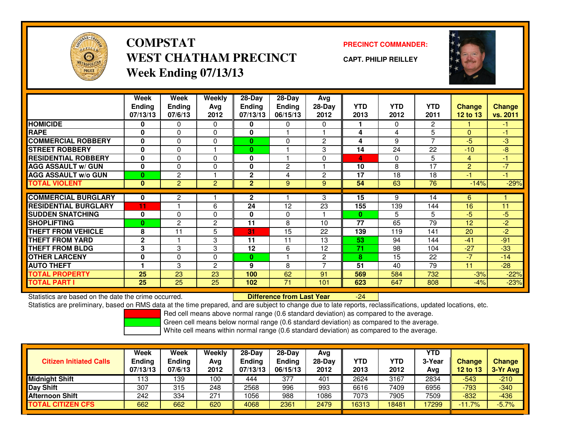

**COMPSTATWEST CHATHAM PRECINCTWeek Ending 07/13/13**

**PRECINCT COMMANDER:**

**CAPT. PHILIP REILLEY**



|                             | Week          | Week           | <b>Weekly</b>  | $28-Day$       | $28-Day$      | Avg            |              |            |                |                |               |
|-----------------------------|---------------|----------------|----------------|----------------|---------------|----------------|--------------|------------|----------------|----------------|---------------|
|                             | <b>Ending</b> | <b>Ending</b>  | Avg            | <b>Ending</b>  | <b>Ending</b> | 28-Day         | <b>YTD</b>   | <b>YTD</b> | <b>YTD</b>     | <b>Change</b>  | <b>Change</b> |
|                             | 07/13/13      | 07/6/13        | 2012           | 07/13/13       | 06/15/13      | 2012           | 2013         | 2012       | 2011           | 12 to 13       | vs. 2011      |
| <b>HOMICIDE</b>             | 0             | 0              | $\Omega$       | 0              | 0             | $\Omega$       |              | $\Omega$   | $\overline{2}$ |                | $-1$          |
| <b>RAPE</b>                 | $\mathbf{0}$  | 0              | $\Omega$       | $\mathbf{0}$   |               |                | 4            | 4          | 5              | $\Omega$       | $-1$          |
| <b>COMMERCIAL ROBBERY</b>   | 0             | 0              | 0              | $\bf{0}$       | 0             | $\overline{c}$ | 4            | 9          | 7              | $-5$           | $-3$          |
| <b>STREET ROBBERY</b>       | $\bf{0}$      | 0              |                | $\bf{0}$       |               | 3              | 14           | 24         | 22             | $-10$          | $-8$          |
| <b>RESIDENTIAL ROBBERY</b>  | 0             | 0              | $\Omega$       | 0              |               | $\Omega$       | 4            | $\Omega$   | 5              | 4              | $-1$          |
| <b>AGG ASSAULT w/ GUN</b>   | $\mathbf{0}$  | $\Omega$       | 0              | $\mathbf{0}$   | $\mathbf{2}$  |                | 10           | 8          | 17             | $\overline{2}$ | $-7$          |
| <b>AGG ASSAULT w/o GUN</b>  | $\bf{0}$      | $\overline{c}$ |                | $\mathbf{2}$   | 4             | $\overline{2}$ | 17           | 18         | 18             | $-1$           | $-1$          |
| <b>TOTAL VIOLENT</b>        | $\mathbf{0}$  | $\overline{2}$ | $\overline{2}$ | $\overline{2}$ | 9             | 9              | 54           | 63         | 76             | $-14%$         | $-29%$        |
|                             |               |                |                |                |               |                |              |            |                |                |               |
| <b>COMMERCIAL BURGLARY</b>  | 0             | 2              |                | 2              |               | 3              | 15           | 9          | 14             | 6              |               |
| <b>RESIDENTIAL BURGLARY</b> | 11            |                | 6              | 24             | 12            | 23             | 155          | 139        | 144            | 16             | 11            |
| <b>SUDDEN SNATCHING</b>     | $\mathbf{0}$  | 0              | 0              | $\mathbf{0}$   | $\Omega$      |                | $\mathbf{0}$ | 5          | 5              | $-5$           | $-5$          |
| <b>SHOPLIFTING</b>          | $\bf{0}$      | 2              | 2              | 11             | 8             | 10             | 77           | 65         | 79             | 12             | $-2$          |
| <b>THEFT FROM VEHICLE</b>   | 8             | 11             | 5              | 31             | 15            | 22             | 139          | 119        | 141            | 20             | $-2$          |
| <b>THEFT FROM YARD</b>      | $\mathbf 2$   |                | 3              | 11             | 11            | 13             | 53           | 94         | 144            | $-41$          | $-91$         |
| <b>THEFT FROM BLDG</b>      | 3             | 3              | 3              | 12             | 6             | 12             | 71           | 98         | 104            | $-27$          | $-33$         |
| <b>OTHER LARCENY</b>        | $\mathbf{0}$  | 0              | 0              | $\bf{0}$       |               | $\overline{c}$ | 8            | 15         | 22             | $-7$           | $-14$         |
| <b>AUTO THEFT</b>           |               | 3              | $\overline{c}$ | 9              | 8             |                | 51           | 40         | 79             | 11             | $-28$         |
| <b>TOTAL PROPERTY</b>       | 25            | 23             | 23             | 100            | 62            | 91             | 569          | 584        | 732            | $-3%$          | $-22%$        |
| <b>TOTAL PART I</b>         | 25            | 25             | 25             | 102            | 71            | 101            | 623          | 647        | 808            | $-4%$          | $-23%$        |

Statistics are based on the date the crime occurred. **Difference from Last Year** 

Statistics are preliminary, based on RMS data at the time prepared, and are subject to change due to late reports, reclassifications, updated locations, etc.

Red cell means above normal range (0.6 standard deviation) as compared to the average.

-24

Green cell means below normal range (0.6 standard deviation) as compared to the average.

| <b>Citizen Initiated Calls</b> | Week<br>Ending<br>07/13/13 | Week<br><b>Ending</b><br>07/6/13 | Weekly<br>Avg<br>2012 | $28-Day$<br>Ending<br>07/13/13 | $28$ -Dav<br>Endina<br>06/15/13 | Avg<br>28-Day<br>2012 | YTD<br>2013 | YTD<br>2012 | <b>YTD</b><br>3-Year<br>Avg | <b>Change</b><br><b>12 to 13</b> | <b>Change</b><br>3-Yr Avg |
|--------------------------------|----------------------------|----------------------------------|-----------------------|--------------------------------|---------------------------------|-----------------------|-------------|-------------|-----------------------------|----------------------------------|---------------------------|
| <b>Midnight Shift</b>          | 113                        | 139                              | 100                   | 444                            | 377                             | 401                   | 2624        | 3167        | 2834                        | $-543$                           | $-210$                    |
| Day Shift                      | 307                        | 315                              | 248                   | 2568                           | 996                             | 993                   | 6616        | 7409        | 6956                        | $-793$                           | $-340$                    |
| <b>Afternoon Shift</b>         | 242                        | 334                              | 271                   | 1056                           | 988                             | 1086                  | 7073        | 7905        | 7509                        | $-832$                           | $-436$                    |
| <b>TOTAL CITIZEN CFS</b>       | 662                        | 662                              | 620                   | 4068                           | 2361                            | 2479                  | 16313       | 18481       | 7299                        | $-11.7%$                         | $-5.7%$                   |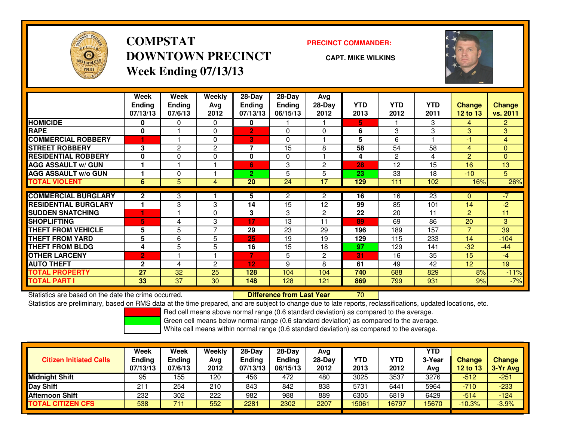

## **COMPSTATDOWNTOWN PRECINCTWeek Ending 07/13/13**

### **PRECINCT COMMANDER:**

**CAPT. MIKE WILKINS**

<sup>70</sup>



|                             | Week           | Week           | <b>Weekly</b>  | $28$ -Day                | $28$ -Day      | Avg            |            |            |            |                |                |
|-----------------------------|----------------|----------------|----------------|--------------------------|----------------|----------------|------------|------------|------------|----------------|----------------|
|                             | <b>Ending</b>  | <b>Ending</b>  | Avg            | Ending                   | <b>Ending</b>  | 28-Day         | <b>YTD</b> | <b>YTD</b> | <b>YTD</b> | <b>Change</b>  | <b>Change</b>  |
|                             | 07/13/13       | 07/6/13        | 2012           | 07/13/13                 | 06/15/13       | 2012           | 2013       | 2012       | 2011       | 12 to 13       | vs. 2011       |
| <b>HOMICIDE</b>             | 0              | 0              | 0              | 0                        |                |                | 5          |            | 3          | 4              | $\overline{2}$ |
| <b>RAPE</b>                 | 0              |                | $\mathbf 0$    | $\overline{2}$           | $\Omega$       | $\Omega$       | 6          | 3          | 3          | 3              | 3              |
| <b>COMMERCIAL ROBBERY</b>   | 1              |                | $\Omega$       | 3                        | $\Omega$       |                | 5          | 6          |            | -1             | 4              |
| <b>STREET ROBBERY</b>       | 3              | $\overline{2}$ | $\mathbf{2}$   | $\overline{\phantom{a}}$ | 15             | 8              | 58         | 54         | 58         | 4              | $\mathbf{0}$   |
| <b>RESIDENTIAL ROBBERY</b>  | 0              | 0              | $\mathbf 0$    | $\mathbf{0}$             | $\Omega$       |                | 4          | 2          | 4          | $\overline{2}$ | $\mathbf{0}$   |
| <b>AGG ASSAULT w/ GUN</b>   |                |                |                | 6                        | 3              | $\overline{c}$ | 28         | 12         | 15         | 16             | 13             |
| <b>AGG ASSAULT w/o GUN</b>  |                | 0              |                | $\overline{2}$           | 5              | 5              | 23         | 33         | 18         | $-10^{-}$      | 5              |
| <b>TOTAL VIOLENT</b>        | 6              | 5              | 4              | 20                       | 24             | 17             | 129        | 111        | 102        | 16%            | 26%            |
| <b>COMMERCIAL BURGLARY</b>  | $\mathbf{2}$   | 3              |                | 5                        | $\overline{2}$ | 2              | 16         | 16         | 23         | $\mathbf{0}$   | $\sqrt{-7}$    |
| <b>RESIDENTIAL BURGLARY</b> |                | 3              | 3              | 14                       | 15             | 12             | 99         | 85         | 101        | 14             | $-2$           |
| <b>SUDDEN SNATCHING</b>     |                |                | $\Omega$       | 3                        | 3              | $\overline{2}$ | 22         | 20         | 11         | 2              | 11             |
| <b>SHOPLIFTING</b>          | 5              | 4              | 3              | 17                       | 13             | 11             | 89         | 69         | 86         | 20             | 3              |
| <b>THEFT FROM VEHICLE</b>   | 5              | 5              | 7              | 29                       | 23             | 29             | 196        | 189        | 157        | 7              | 39             |
| <b>THEFT FROM YARD</b>      | 5              | 6              | 5              | 25                       | 19             | 19             | 129        | 115        | 233        | 14             | $-104$         |
| <b>THEFT FROM BLDG</b>      | 4              | 5              | 5              | 16                       | 15             | 18             | 97         | 129        | 141        | $-32$          | $-44$          |
| <b>OTHER LARCENY</b>        | $\overline{2}$ |                |                | 7                        | 5              | $\overline{2}$ | 31         | 16         | 35         | 15             | $-4$           |
| <b>AUTO THEFT</b>           | $\mathbf{2}$   | 4              | $\overline{c}$ | 12                       | 9              | 8              | 61         | 49         | 42         | 12             | 19             |
| <b>TOTAL PROPERTY</b>       | 27             | 32             | 25             | 128                      | 104            | 104            | 740        | 688        | 829        | 8%             | $-11%$         |
| <b>TOTAL PART I</b>         | 33             | 37             | 30             | 148                      | 128            | 121            | 869        | 799        | 931        | 9%             | $-7%$          |

Statistics are based on the date the crime occurred. **Difference from Last Year** 

Statistics are preliminary, based on RMS data at the time prepared, and are subject to change due to late reports, reclassifications, updated locations, etc.

Red cell means above normal range (0.6 standard deviation) as compared to the average.

Green cell means below normal range (0.6 standard deviation) as compared to the average.

| <b>Citizen Initiated Calls</b> | Week<br>Ending<br>07/13/13 | Week<br><b>Ending</b><br>07/6/13 | Weekly<br>Avg<br>2012 | $28-Day$<br><b>Ending</b><br>07/13/13 | $28-Dav$<br><b>Endina</b><br>06/15/13 | Avg<br>28-Day<br>2012 | YTD<br>2013 | YTD<br>2012 | <b>YTD</b><br>3-Year<br>Avg | Change<br><b>12 to 13</b> | <b>Change</b><br>3-Yr Avg |
|--------------------------------|----------------------------|----------------------------------|-----------------------|---------------------------------------|---------------------------------------|-----------------------|-------------|-------------|-----------------------------|---------------------------|---------------------------|
| <b>Midnight Shift</b>          | 95                         | 155                              | 120                   | 456                                   | 472                                   | 480                   | 3025        | 3537        | 3276                        | $-512$                    | $-251$                    |
| <b>Day Shift</b>               | 21٬                        | 254                              | 210                   | 843                                   | 842                                   | 838                   | 5731        | 6441        | 5964                        | $-710$                    | $-233$                    |
| <b>Afternoon Shift</b>         | 232                        | 302                              | 222                   | 982                                   | 988                                   | 889                   | 6305        | 6819        | 6429                        | $-514$                    | $-124$                    |
| <b>TOTAL CITIZEN CFS</b>       | 538                        | 711                              | 552                   | 2281                                  | 2302                                  | 2207                  | 15061       | 16797       | 5670                        | $-10.3%$                  | $-3.9%$                   |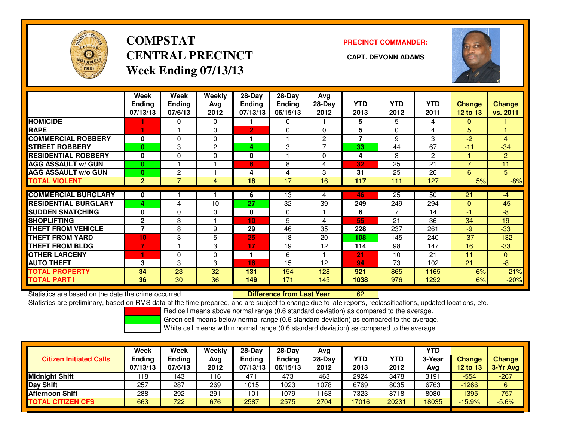

# **COMPSTATCENTRAL PRECINCT CAPT. DEVONN ADAMSWeek Ending 07/13/13**

**PRECINCT COMMANDER:**



|                             | Week<br><b>Ending</b><br>07/13/13 | Week<br><b>Ending</b><br>07/6/13 | Weekly<br>Ava<br>2012 | 28-Day<br><b>Ending</b><br>07/13/13 | 28-Day<br>Ending<br>06/15/13 | Avg<br>$28-Day$<br>2012 | <b>YTD</b><br>2013 | <b>YTD</b><br>2012 | <b>YTD</b><br>2011 | <b>Change</b><br><b>12 to 13</b> | <b>Change</b><br>vs. 2011 |
|-----------------------------|-----------------------------------|----------------------------------|-----------------------|-------------------------------------|------------------------------|-------------------------|--------------------|--------------------|--------------------|----------------------------------|---------------------------|
| <b>HOMICIDE</b>             |                                   | 0                                | $\Omega$              |                                     | $\Omega$                     |                         | 5                  | 5                  | 4                  | $\Omega$                         |                           |
| <b>RAPE</b>                 |                                   |                                  | 0                     | $\overline{2}$                      | $\Omega$                     | 0                       | 5                  | $\Omega$           | 4                  | 5                                |                           |
| <b>COMMERCIAL ROBBERY</b>   | $\bf{0}$                          | 0                                | $\Omega$              |                                     |                              | $\overline{2}$          | $\overline{7}$     | 9                  | 3                  | $-2$                             | $\overline{4}$            |
| <b>STREET ROBBERY</b>       | 0                                 | 3                                | 2                     | 4                                   | 3                            | 7                       | 33                 | 44                 | 67                 | $-11$                            | $-34$                     |
| <b>RESIDENTIAL ROBBERY</b>  | 0                                 | 0                                | $\Omega$              | 0                                   |                              | $\Omega$                | 4                  | 3                  | $\overline{2}$     |                                  | $\overline{2}$            |
| <b>AGG ASSAULT w/ GUN</b>   | $\bf{0}$                          |                                  |                       | $6\phantom{1}$                      | 8                            | 4                       | 32                 | 25                 | 21                 | $\overline{7}$                   | 11                        |
| <b>AGG ASSAULT w/o GUN</b>  | $\bf{0}$                          | 2                                |                       | 4                                   | 4                            | 3                       | 31                 | 25                 | 26                 | 6                                | 5 <sup>2</sup>            |
| <b>TOTAL VIOLENT</b>        | $\overline{2}$                    | 7                                | 4                     | 18                                  | 17                           | 16                      | 117                | 111                | 127                | 5%                               | $-8%$                     |
|                             |                                   |                                  |                       |                                     |                              |                         |                    |                    |                    |                                  |                           |
| <b>COMMERCIAL BURGLARY</b>  | 0                                 |                                  |                       | 6                                   | 13                           | 4                       | 46                 | $\overline{25}$    | 50                 | 21                               | -4                        |
| <b>RESIDENTIAL BURGLARY</b> | 4                                 | 4                                | 10                    | 27                                  | 32                           | 39                      | 249                | 249                | 294                | $\mathbf{0}$                     | $-45$                     |
| <b>SUDDEN SNATCHING</b>     | $\bf{0}$                          | $\Omega$                         | $\Omega$              | $\mathbf{0}$                        | $\Omega$                     |                         | 6                  | $\overline{7}$     | 14                 | $-1$                             | -8                        |
| <b>SHOPLIFTING</b>          | $\mathbf{2}$                      | 3                                |                       | 10                                  | 5                            | 4                       | 55                 | 21                 | 36                 | 34                               | 19                        |
| <b>THEFT FROM VEHICLE</b>   | 7                                 | 8                                | 9                     | 29                                  | 46                           | 35                      | 228                | 237                | 261                | $-9$                             | $-33$                     |
| <b>THEFT FROM YARD</b>      | 10 <sub>1</sub>                   | 3                                | 5                     | 25                                  | 18                           | 20                      | 108                | 145                | 240                | $-37$                            | $-132$                    |
| <b>THEFT FROM BLDG</b>      | $\overline{7}$                    |                                  | 3                     | 17                                  | 19                           | 12                      | 114                | 98                 | 147                | 16                               | $-33$                     |
| <b>OTHER LARCENY</b>        | 1                                 | 0                                | $\Omega$              |                                     | 6                            |                         | 21                 | 10                 | 21                 | 11                               | $\overline{0}$            |
| <b>AUTO THEFT</b>           | 3                                 | 3                                | 3                     | 16                                  | 15                           | 12                      | 94                 | 73                 | 102                | 21                               | -8                        |
| <b>TOTAL PROPERTY</b>       | 34                                | 23                               | 32                    | 131                                 | 154                          | 128                     | 921                | 865                | 1165               | 6%                               | $-21%$                    |
| <b>TOTAL PART I</b>         | 36                                | 30                               | 36                    | 149                                 | 171                          | 145                     | 1038               | 976                | 1292               | 6%                               | $-20%$                    |

Statistics are based on the date the crime occurred. **Difference from Last Year** 

Statistics are based on the date the crime occurred. **Externee the Difference from Last Year http://**<br>Statistics are preliminary, based on RMS data at the time prepared, and are subject to change due to late reports, recla

Red cell means above normal range (0.6 standard deviation) as compared to the average.

Green cell means below normal range (0.6 standard deviation) as compared to the average.

| <b>Citizen Initiated Calls</b> | <b>Week</b><br><b>Ending</b><br>07/13/13 | <b>Week</b><br>Ending<br>07/6/13 | Weekly<br>Avg<br>2012 | $28-Day$<br><b>Ending</b><br>07/13/13 | $28-Dav$<br>Ending<br>06/15/13 | Avg<br>28-Dav<br>2012 | YTD<br>2013 | YTD<br>2012 | YTD<br>3-Year<br>Avg | <b>Change</b><br><b>12 to 13</b> | <b>Change</b><br>3-Yr Avg |
|--------------------------------|------------------------------------------|----------------------------------|-----------------------|---------------------------------------|--------------------------------|-----------------------|-------------|-------------|----------------------|----------------------------------|---------------------------|
| <b>Midnight Shift</b>          | ∣18                                      | 143                              | 116                   | 471                                   | 473                            | 463                   | 2924        | 3478        | 3191                 | $-554$                           | $-267$                    |
| Day Shift                      | 257                                      | 287                              | 269                   | 1015                                  | 1023                           | 1078                  | 6769        | 8035        | 6763                 | $-1266$                          | 6                         |
| <b>Afternoon Shift</b>         | 288                                      | 292                              | 291                   | 101                                   | 1079                           | 163                   | 7323        | 8718        | 8080                 | $-1395$                          | $-757$                    |
| <b>TOTAL CITIZEN CFS</b>       | 663                                      | 722                              | 676                   | 2587                                  | 2575                           | 2704                  | 17016       | 20231       | 18035                | $-15.9%$                         | $-5.6%$                   |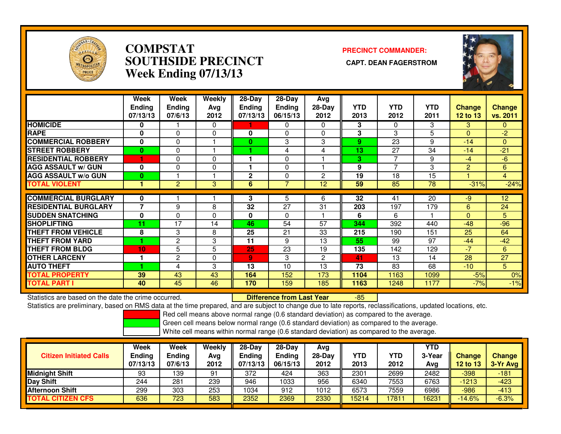

### **COMPSTAT PRECINCT COMMANDER: SOUTHSIDE PRECINCT CAPT. DEAN FAGERSTROMWeek Ending 07/13/13**



|                             | Week<br><b>Ending</b><br>07/13/13 | Week<br><b>Ending</b><br>07/6/13 | Weekly<br>Avg<br>2012 | 28-Day<br><b>Ending</b><br>07/13/13 | 28-Day<br><b>Ending</b><br>06/15/13 | Avg<br>28-Day<br>2012 | <b>YTD</b><br>2013 | <b>YTD</b><br>2012 | <b>YTD</b><br>2011 | <b>Change</b><br>12 to 13 | <b>Change</b><br>vs. 2011 |
|-----------------------------|-----------------------------------|----------------------------------|-----------------------|-------------------------------------|-------------------------------------|-----------------------|--------------------|--------------------|--------------------|---------------------------|---------------------------|
| <b>HOMICIDE</b>             | 0                                 |                                  | $\Omega$              |                                     | $\Omega$                            | $\Omega$              | 3                  | $\Omega$           | 3                  | 3                         | $\mathbf{0}$              |
| <b>RAPE</b>                 | $\mathbf 0$                       | $\Omega$                         | 0                     | 0                                   | $\Omega$                            | $\mathbf{0}$          | 3                  | 3                  | 5                  | $\mathbf{0}$              | $-2$                      |
| <b>COMMERCIAL ROBBERY</b>   | 0                                 | $\Omega$                         |                       | $\mathbf{0}$                        | 3                                   | 3                     | 9                  | 23                 | 9                  | $-14$                     | $\mathbf{0}$              |
| <b>STREET ROBBERY</b>       | $\bf{0}$                          | $\Omega$                         |                       |                                     | 4                                   | 4                     | 13                 | 27                 | 34                 | $-14$                     | $-21$                     |
| <b>RESIDENTIAL ROBBERY</b>  |                                   | $\Omega$                         | $\Omega$              |                                     | $\Omega$                            |                       | 3                  | 7                  | 9                  | $-4$                      | $-6$                      |
| <b>AGG ASSAULT w/ GUN</b>   | $\mathbf 0$                       | $\Omega$                         | $\Omega$              |                                     | $\Omega$                            |                       | 9                  | $\overline{7}$     | 3                  | 2                         | 6                         |
| <b>AGG ASSAULT w/o GUN</b>  | 0                                 |                                  |                       | $\mathbf{2}$                        | 0                                   | $\overline{2}$        | 19                 | 18                 | 15                 |                           | $\overline{4}$            |
| <b>TOTAL VIOLENT</b>        |                                   | $\overline{2}$                   | 3                     | 6                                   | 7                                   | 12                    | 59                 | 85                 | 78                 | $-31%$                    | $-24%$                    |
|                             |                                   |                                  |                       |                                     |                                     |                       |                    |                    |                    |                           |                           |
| <b>COMMERCIAL BURGLARY</b>  | 0                                 |                                  |                       | 3                                   | 5                                   | 6                     | 32                 | 41                 | 20                 | $-9$                      | 12                        |
| <b>RESIDENTIAL BURGLARY</b> | $\overline{\phantom{a}}$          | 9                                | 8                     | 32                                  | 27                                  | 31                    | 203                | 197                | 179                | 6                         | 24                        |
| <b>SUDDEN SNATCHING</b>     | $\mathbf 0$                       | $\Omega$                         | $\mathbf{0}$          | $\bf{0}$                            | $\Omega$                            |                       | 6                  | 6                  |                    | $\Omega$                  | 5                         |
| <b>SHOPLIFTING</b>          | 11                                | 17                               | 14                    | 46                                  | 54                                  | 57                    | 344                | 392                | 440                | $-48$                     | $-96$                     |
| <b>THEFT FROM VEHICLE</b>   | 8                                 | 3                                | 8                     | 25                                  | 21                                  | 33                    | 215                | 190                | 151                | 25                        | 64                        |
| <b>THEFT FROM YARD</b>      |                                   | $\overline{c}$                   | 3                     | 11                                  | 9                                   | 13                    | 55                 | 99                 | 97                 | $-44$                     | $-42$                     |
| <b>THEFT FROM BLDG</b>      | 10                                | 5                                | 5                     | 25                                  | 23                                  | 19                    | 135                | 142                | 129                | $-7$                      | 6                         |
| <b>OTHER LARCENY</b>        |                                   | $\overline{c}$                   | $\mathbf{0}$          | $\overline{9}$                      | 3                                   | $\overline{2}$        | 41                 | 13                 | 14                 | 28                        | 27                        |
| <b>AUTO THEFT</b>           |                                   | 4                                | 3                     | 13                                  | 10                                  | 13                    | 73                 | 83                 | 68                 | $-10$                     | 5                         |
| <b>TOTAL PROPERTY</b>       | 39                                | 43                               | 43                    | 164                                 | 152                                 | 173                   | 1104               | 1163               | 1099               | $-5%$                     | 0%                        |
| <b>TOTAL PART I</b>         | 40                                | 45                               | 46                    | 170                                 | 159                                 | 185                   | 1163               | 1248               | 1177               | $-7%$                     | $-1%$                     |

Statistics are based on the date the crime occurred. **Difference from Last Year** 

Statistics are based on the date the crime occurred. **Externee the Difference from Last Year Theore 15 Secu** 1-85<br>Statistics are preliminary, based on RMS data at the time prepared, and are subject to change due to late re

Red cell means above normal range (0.6 standard deviation) as compared to the average.

Green cell means below normal range (0.6 standard deviation) as compared to the average.

| <b>Citizen Initiated Calls</b> | Week<br>Ending<br>07/13/13 | Week<br><b>Ending</b><br>07/6/13 | Weekly<br>Avg<br>2012 | $28-Day$<br><b>Ending</b><br>07/13/13 | 28-Dav<br><b>Ending</b><br>06/15/13 | Avg<br>$28-Day$<br>2012 | YTD<br>2013 | YTD<br>2012 | YTD<br>3-Year<br>Avg | <b>Change</b><br>12 to 13 | <b>Change</b><br>3-Yr Avg |
|--------------------------------|----------------------------|----------------------------------|-----------------------|---------------------------------------|-------------------------------------|-------------------------|-------------|-------------|----------------------|---------------------------|---------------------------|
| <b>Midnight Shift</b>          | 93                         | 139                              | 91                    | 372                                   | 424                                 | 363                     | 2301        | 2699        | 2482                 | $-398$                    | $-181$                    |
| Day Shift                      | 244                        | 281                              | 239                   | 946                                   | 1033                                | 956                     | 6340        | 7553        | 6763                 | $-1213$                   | $-423$                    |
| Afternoon Shift                | 299                        | 303                              | 253                   | 1034                                  | 912                                 | 1012                    | 6573        | 7559        | 6986                 | $-986$                    | $-413$                    |
| <b>TOTAL CITIZEN CFS</b>       | 636                        | 723                              | 583                   | 2352                                  | 2369                                | 2330                    | 15214       | 17811       | 16231                | $-14.6%$                  | $-6.3%$                   |